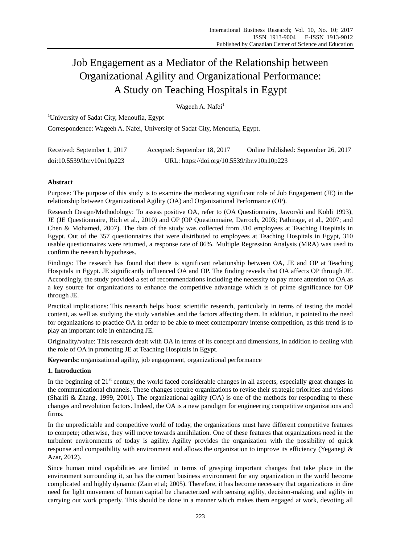# Job Engagement as a Mediator of the Relationship between Organizational Agility and Organizational Performance: A Study on Teaching Hospitals in Egypt

Wageeh A. Nafei<sup>1</sup>

<sup>1</sup>University of Sadat City, Menoufia, Egypt

Correspondence: Wageeh A. Nafei, University of Sadat City, Menoufia, Egypt.

| Received: September 1, 2017 | Accepted: September 18, 2017                | Online Published: September 26, 2017 |
|-----------------------------|---------------------------------------------|--------------------------------------|
| doi:10.5539/ibr.v10n10p223  | URL: https://doi.org/10.5539/ibr.v10n10p223 |                                      |

# **Abstract**

Purpose: The purpose of this study is to examine the moderating significant role of Job Engagement (JE) in the relationship between Organizational Agility (OA) and Organizational Performance (OP).

Research Design/Methodology: To assess positive OA, refer to (OA Questionnaire, Jaworski and Kohli 1993), JE (JE Questionnaire, Rich et al., 2010) and OP (OP Questionnaire, Darroch, 2003; Pathirage, et al., 2007; and Chen & Mohamed, 2007). The data of the study was collected from 310 employees at Teaching Hospitals in Egypt. Out of the 357 questionnaires that were distributed to employees at Teaching Hospitals in Egypt, 310 usable questionnaires were returned, a response rate of 86%. Multiple Regression Analysis (MRA) was used to confirm the research hypotheses.

Findings: The research has found that there is significant relationship between OA, JE and OP at Teaching Hospitals in Egypt. JE significantly influenced OA and OP. The finding reveals that OA affects OP through JE. Accordingly, the study provided a set of recommendations including the necessity to pay more attention to OA as a key source for organizations to enhance the competitive advantage which is of prime significance for OP through JE.

Practical implications: This research helps boost scientific research, particularly in terms of testing the model content, as well as studying the study variables and the factors affecting them. In addition, it pointed to the need for organizations to practice OA in order to be able to meet contemporary intense competition, as this trend is to play an important role in enhancing JE.

Originality/value: This research dealt with OA in terms of its concept and dimensions, in addition to dealing with the role of OA in promoting JE at Teaching Hospitals in Egypt.

**Keywords:** organizational agility, job engagement, organizational performance

# **1. Introduction**

In the beginning of 21<sup>st</sup> century, the world faced considerable changes in all aspects, especially great changes in the communicational channels. These changes require organizations to revise their strategic priorities and visions (Sharifi & Zhang, 1999, 2001). The organizational agility (OA) is one of the methods for responding to these changes and revolution factors. Indeed, the OA is a new paradigm for engineering competitive organizations and firms.

In the unpredictable and competitive world of today, the organizations must have different competitive features to compete; otherwise, they will move towards annihilation. One of these features that organizations need in the turbulent environments of today is agility. Agility provides the organization with the possibility of quick response and compatibility with environment and allows the organization to improve its efficiency (Yeganegi & Azar, 2012).

Since human mind capabilities are limited in terms of grasping important changes that take place in the environment surrounding it, so has the current business environment for any organization in the world become complicated and highly dynamic (Zain et al; 2005). Therefore, it has become necessary that organizations in dire need for light movement of human capital be characterized with sensing agility, decision-making, and agility in carrying out work properly. This should be done in a manner which makes them engaged at work, devoting all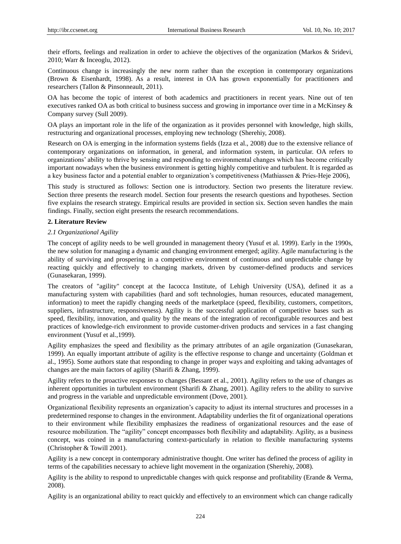their efforts, feelings and realization in order to achieve the objectives of the organization (Markos & Sridevi, 2010; Warr & Inceoglu, 2012).

Continuous change is increasingly the new norm rather than the exception in contemporary organizations (Brown & Eisenhardt, 1998). As a result, interest in OA has grown exponentially for practitioners and researchers (Tallon & Pinsonneault, 2011).

OA has become the topic of interest of both academics and practitioners in recent years. Nine out of ten executives ranked OA as both critical to business success and growing in importance over time in a McKinsey & Company survey (Sull 2009).

OA plays an important role in the life of the organization as it provides personnel with knowledge, high skills, restructuring and organizational processes, employing new technology (Sherehiy, 2008).

Research on OA is emerging in the information systems fields (Izza et al., 2008) due to the extensive reliance of contemporary organizations on information, in general, and information system, in particular. OA refers to organizations' ability to thrive by sensing and responding to environmental changes which has become critically important nowadays when the business environment is getting highly competitive and turbulent. It is regarded as a key business factor and a potential enabler to organization's competitiveness (Mathiassen & Pries-Heje 2006),

This study is structured as follows: Section one is introductory. Section two presents the literature review. Section three presents the research model. Section four presents the research questions and hypotheses. Section five explains the research strategy. Empirical results are provided in section six. Section seven handles the main findings. Finally, section eight presents the research recommendations.

## **2. Literature Review**

## *2.1 Organizational Agility*

The concept of agility needs to be well grounded in management theory (Yusuf et al. 1999). Early in the 1990s, the new solution for managing a dynamic and changing environment emerged; agility. Agile manufacturing is the ability of surviving and prospering in a competitive environment of continuous and unpredictable change by reacting quickly and effectively to changing markets, driven by customer-defined products and services (Gunasekaran, 1999).

The creators of "agility" concept at the Iacocca Institute, of Lehigh University (USA), defined it as a manufacturing system with capabilities (hard and soft technologies, human resources, educated management, information) to meet the rapidly changing needs of the marketplace (speed, flexibility, customers, competitors, suppliers, infrastructure, responsiveness). Agility is the successful application of competitive bases such as speed, flexibility, innovation, and quality by the means of the integration of reconfigurable resources and best practices of knowledge-rich environment to provide customer-driven products and services in a fast changing environment (Yusuf et al.,1999).

Agility emphasizes the speed and flexibility as the primary attributes of an agile organization (Gunasekaran, 1999). An equally important attribute of agility is the effective response to change and uncertainty (Goldman et al., 1995). Some authors state that responding to change in proper ways and exploiting and taking advantages of changes are the main factors of agility (Sharifi & Zhang, 1999).

Agility refers to the proactive responses to changes (Bessant et al., 2001). Agility refers to the use of changes as inherent opportunities in turbulent environment (Sharifi & Zhang, 2001). Agility refers to the ability to survive and progress in the variable and unpredictable environment (Dove, 2001).

Organizational flexibility represents an organization's capacity to adjust its internal structures and processes in a predetermined response to changes in the environment. Adaptability underlies the fit of organizational operations to their environment while flexibility emphasizes the readiness of organizational resources and the ease of resource mobilization. The "agility" concept encompasses both flexibility and adaptability. Agility, as a business concept, was coined in a manufacturing context-particularly in relation to flexible manufacturing systems (Christopher & Towill 2001).

Agility is a new concept in contemporary administrative thought. One writer has defined the process of agility in terms of the capabilities necessary to achieve light movement in the organization (Sherehiy, 2008).

Agility is the ability to respond to unpredictable changes with quick response and profitability (Erande & Verma, 2008).

Agility is an organizational ability to react quickly and effectively to an environment which can change radically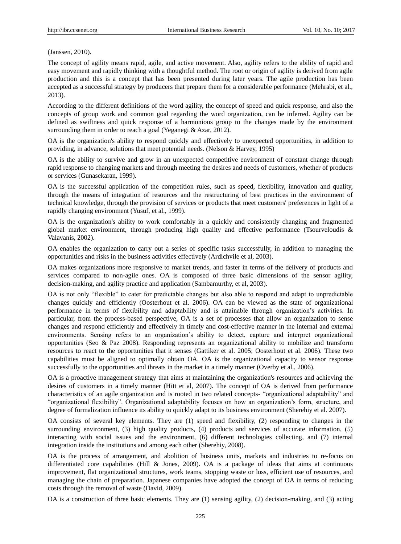(Janssen, 2010).

The concept of agility means rapid, agile, and active movement. Also, agility refers to the ability of rapid and easy movement and rapidly thinking with a thoughtful method. The root or origin of agility is derived from agile production and this is a concept that has been presented during later years. The agile production has been accepted as a successful strategy by producers that prepare them for a considerable performance (Mehrabi, et al., 2013).

According to the different definitions of the word agility, the concept of speed and quick response, and also the concepts of group work and common goal regarding the word organization, can be inferred. Agility can be defined as swiftness and quick response of a harmonious group to the changes made by the environment surrounding them in order to reach a goal (Yeganegi & Azar, 2012).

OA is the organization's ability to respond quickly and effectively to unexpected opportunities, in addition to providing, in advance, solutions that meet potential needs. (Nelson & Harvey, 1995)

OA is the ability to survive and grow in an unexpected competitive environment of constant change through rapid response to changing markets and through meeting the desires and needs of customers, whether of products or services (Gunasekaran, 1999).

OA is the successful application of the competition rules, such as speed, flexibility, innovation and quality, through the means of integration of resources and the restructuring of best practices in the environment of technical knowledge, through the provision of services or products that meet customers' preferences in light of a rapidly changing environment (Yusuf, et al., 1999).

OA is the organization's ability to work comfortably in a quickly and consistently changing and fragmented global market environment, through producing high quality and effective performance (Tsourveloudis & Valavanis, 2002).

OA enables the organization to carry out a series of specific tasks successfully, in addition to managing the opportunities and risks in the business activities effectively (Ardichvile et al, 2003).

OA makes organizations more responsive to market trends, and faster in terms of the delivery of products and services compared to non-agile ones. OA is composed of three basic dimensions of the sensor agility, decision-making, and agility practice and application (Sambamurthy, et al, 2003).

OA is not only "flexible" to cater for predictable changes but also able to respond and adapt to unpredictable changes quickly and efficiently (Oosterhout et al. 2006). OA can be viewed as the state of organizational performance in terms of flexibility and adaptability and is attainable through organization's activities. In particular, from the process-based perspective, OA is a set of processes that allow an organization to sense changes and respond efficiently and effectively in timely and cost-effective manner in the internal and external environments. Sensing refers to an organization's ability to detect, capture and interpret organizational opportunities (Seo & Paz 2008). Responding represents an organizational ability to mobilize and transform resources to react to the opportunities that it senses (Gattiker et al. 2005; Oosterhout et al. 2006). These two capabilities must be aligned to optimally obtain OA. OA is the organizational capacity to sensor response successfully to the opportunities and threats in the market in a timely manner (Overby et al., 2006).

OA is a proactive management strategy that aims at maintaining the organization's resources and achieving the desires of customers in a timely manner (Hitt et al, 2007). The concept of OA is derived from performance characteristics of an agile organization and is rooted in two related concepts- "organizational adaptability" and "organizational flexibility". Organizational adaptability focuses on how an organization's form, structure, and degree of formalization influence its ability to quickly adapt to its business environment (Sherehiy et al. 2007).

OA consists of several key elements. They are (1) speed and flexibility, (2) responding to changes in the surrounding environment, (3) high quality products, (4) products and services of accurate information, (5) interacting with social issues and the environment, (6) different technologies collecting, and (7) internal integration inside the institutions and among each other (Sherehiy, 2008).

OA is the process of arrangement, and abolition of business units, markets and industries to re-focus on differentiated core capabilities (Hill & Jones, 2009). OA is a package of ideas that aims at continuous improvement, flat organizational structures, work teams, stopping waste or loss, efficient use of resources, and managing the chain of preparation. Japanese companies have adopted the concept of OA in terms of reducing costs through the removal of waste (David, 2009).

OA is a construction of three basic elements. They are (1) sensing agility, (2) decision-making, and (3) acting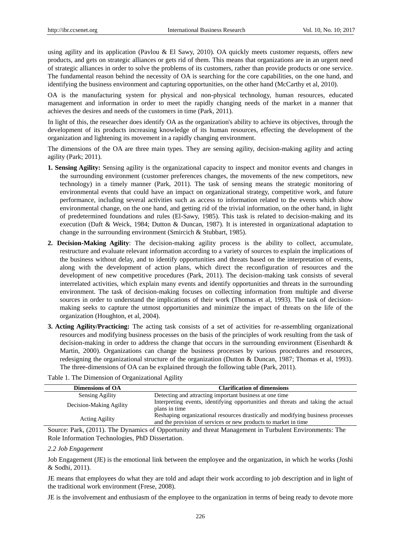using agility and its application (Pavlou & El Sawy, 2010). OA quickly meets customer requests, offers new products, and gets on strategic alliances or gets rid of them. This means that organizations are in an urgent need of strategic alliances in order to solve the problems of its customers, rather than provide products or one service. The fundamental reason behind the necessity of OA is searching for the core capabilities, on the one hand, and identifying the business environment and capturing opportunities, on the other hand (McCarthy et al, 2010).

OA is the manufacturing system for physical and non-physical technology, human resources, educated management and information in order to meet the rapidly changing needs of the market in a manner that achieves the desires and needs of the customers in time (Park, 2011).

In light of this, the researcher does identify OA as the organization's ability to achieve its objectives, through the development of its products increasing knowledge of its human resources, effecting the development of the organization and lightening its movement in a rapidly changing environment.

The dimensions of the OA are three main types. They are sensing agility, decision-making agility and acting agility (Park; 2011).

- **1. Sensing Agility:** Sensing agility is the organizational capacity to inspect and monitor events and changes in the surrounding environment (customer preferences changes, the movements of the new competitors, new technology) in a timely manner (Park, 2011). The task of sensing means the strategic monitoring of environmental events that could have an impact on organizational strategy, competitive work, and future performance, including several activities such as access to information related to the events which show environmental change, on the one hand, and getting rid of the trivial information, on the other hand, in light of predetermined foundations and rules (El-Sawy, 1985). This task is related to decision-making and its execution (Daft & Weick, 1984; Dutton & Duncan, 1987). It is interested in organizational adaptation to change in the surrounding environment (Smircich & Stubbart, 1985).
- **2. Decision-Making Agility**: The decision-making agility process is the ability to collect, accumulate, restructure and evaluate relevant information according to a variety of sources to explain the implications of the business without delay, and to identify opportunities and threats based on the interpretation of events, along with the development of action plans, which direct the reconfiguration of resources and the development of new competitive procedures (Park, 2011). The decision-making task consists of several interrelated activities, which explain many events and identify opportunities and threats in the surrounding environment. The task of decision-making focuses on collecting information from multiple and diverse sources in order to understand the implications of their work (Thomas et al, 1993). The task of decisionmaking seeks to capture the utmost opportunities and minimize the impact of threats on the life of the organization (Houghton, et al, 2004).
- **3. Acting Agility/Practicing:** The acting task consists of a set of activities for re-assembling organizational resources and modifying business processes on the basis of the principles of work resulting from the task of decision-making in order to address the change that occurs in the surrounding environment (Eisenhardt & Martin, 2000). Organizations can change the business processes by various procedures and resources, redesigning the organizational structure of the organization (Dutton & Duncan, 1987; Thomas et al, 1993). The three-dimensions of OA can be explained through the following table (Park, 2011).

| Table 1. The Dimension of Organizational Agility |  |  |  |  |
|--------------------------------------------------|--|--|--|--|
|                                                  |  |  |  |  |

| Dimensions of OA        | <b>Clarification of dimensions</b>                                                                                                                 |
|-------------------------|----------------------------------------------------------------------------------------------------------------------------------------------------|
| <b>Sensing Agility</b>  | Detecting and attracting important business at one time                                                                                            |
| Decision-Making Agility | Interpreting events, identifying opportunities and threats and taking the actual<br>plans in time                                                  |
| <b>Acting Agility</b>   | Reshaping organizational resources drastically and modifying business processes<br>and the provision of services or new products to market in time |

Source: Park, (2011). The Dynamics of Opportunity and threat Management in Turbulent Environments: The Role Information Technologies, PhD Dissertation.

#### *2.2 Job Engagement*

Job Engagement (JE) is the emotional link between the employee and the organization, in which he works (Joshi & Sodhi, 2011).

JE means that employees do what they are told and adapt their work according to job description and in light of the traditional work environment (Frese, 2008).

JE is the involvement and enthusiasm of the employee to the organization in terms of being ready to devote more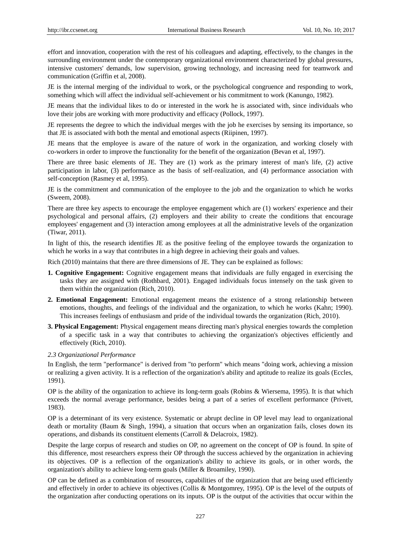effort and innovation, cooperation with the rest of his colleagues and adapting, effectively, to the changes in the surrounding environment under the contemporary organizational environment characterized by global pressures, intensive customers' demands, low supervision, growing technology, and increasing need for teamwork and communication (Griffin et al, 2008).

JE is the internal merging of the individual to work, or the psychological congruence and responding to work, something which will affect the individual self-achievement or his commitment to work (Kanungo, 1982).

JE means that the individual likes to do or interested in the work he is associated with, since individuals who love their jobs are working with more productivity and efficacy (Pollock, 1997).

JE represents the degree to which the individual merges with the job he exercises by sensing its importance, so that JE is associated with both the mental and emotional aspects (Riipinen, 1997).

JE means that the employee is aware of the nature of work in the organization, and working closely with co-workers in order to improve the functionality for the benefit of the organization (Bevan et al, 1997).

There are three basic elements of JE. They are (1) work as the primary interest of man's life, (2) active participation in labor, (3) performance as the basis of self-realization, and (4) performance association with self-conception (Rasmey et al, 1995).

JE is the commitment and communication of the employee to the job and the organization to which he works (Sweem, 2008).

There are three key aspects to encourage the employee engagement which are (1) workers' experience and their psychological and personal affairs, (2) employers and their ability to create the conditions that encourage employees' engagement and (3) interaction among employees at all the administrative levels of the organization (Tiwar, 2011).

In light of this, the research identifies JE as the positive feeling of the employee towards the organization to which he works in a way that contributes in a high degree in achieving their goals and values.

Rich (2010) maintains that there are three dimensions of JE. They can be explained as follows:

- **1. Cognitive Engagement:** Cognitive engagement means that individuals are fully engaged in exercising the tasks they are assigned with (Rothbard, 2001). Engaged individuals focus intensely on the task given to them within the organization (Rich, 2010).
- **2. Emotional Engagement:** Emotional engagement means the existence of a strong relationship between emotions, thoughts, and feelings of the individual and the organization, to which he works (Kahn; 1990). This increases feelings of enthusiasm and pride of the individual towards the organization (Rich, 2010).
- **3. Physical Engagement:** Physical engagement means directing man's physical energies towards the completion of a specific task in a way that contributes to achieving the organization's objectives efficiently and effectively (Rich, 2010).

## *2.3 Organizational Performance*

In English, the term "performance" is derived from "to perform" which means "doing work, achieving a mission or realizing a given activity. It is a reflection of the organization's ability and aptitude to realize its goals (Eccles, 1991).

OP is the ability of the organization to achieve its long-term goals (Robins & Wiersema, 1995). It is that which exceeds the normal average performance, besides being a part of a series of excellent performance (Privett, 1983).

OP is a determinant of its very existence. Systematic or abrupt decline in OP level may lead to organizational death or mortality (Baum & Singh, 1994), a situation that occurs when an organization fails, closes down its operations, and disbands its constituent elements (Carroll & Delacroix, 1982).

Despite the large corpus of research and studies on OP, no agreement on the concept of OP is found. In spite of this difference, most researchers express their OP through the success achieved by the organization in achieving its objectives. OP is a reflection of the organization's ability to achieve its goals, or in other words, the organization's ability to achieve long-term goals (Miller & Broamiley, 1990).

OP can be defined as a combination of resources, capabilities of the organization that are being used efficiently and effectively in order to achieve its objectives (Collis & Montgomrey, 1995). OP is the level of the outputs of the organization after conducting operations on its inputs. OP is the output of the activities that occur within the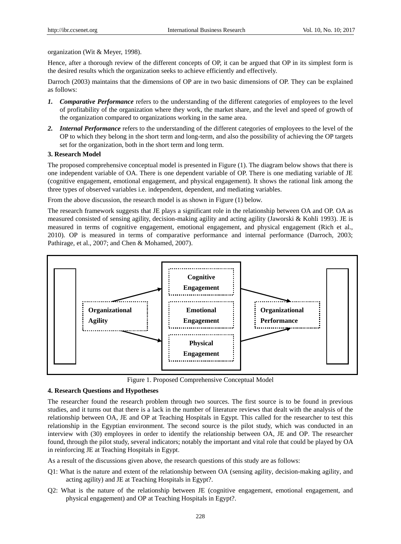organization (Wit & Meyer, 1998).

Hence, after a thorough review of the different concepts of OP, it can be argued that OP in its simplest form is the desired results which the organization seeks to achieve efficiently and effectively.

Darroch (2003) maintains that the dimensions of OP are in two basic dimensions of OP. They can be explained as follows:

- *1. Comparative Performance* refers to the understanding of the different categories of employees to the level of profitability of the organization where they work, the market share, and the level and speed of growth of the organization compared to organizations working in the same area.
- *2. Internal Performance* refers to the understanding of the different categories of employees to the level of the OP to which they belong in the short term and long-term, and also the possibility of achieving the OP targets set for the organization, both in the short term and long term.

## **3. Research Model**

The proposed comprehensive conceptual model is presented in Figure (1). The diagram below shows that there is one independent variable of OA. There is one dependent variable of OP. There is one mediating variable of JE (cognitive engagement, emotional engagement, and physical engagement). It shows the rational link among the three types of observed variables i.e. independent, dependent, and mediating variables.

From the above discussion, the research model is as shown in Figure (1) below.

The research framework suggests that JE plays a significant role in the relationship between OA and OP. OA as measured consisted of sensing agility, decision-making agility and acting agility (Jaworski & Kohli 1993). JE is measured in terms of cognitive engagement, emotional engagement, and physical engagement (Rich et al., 2010). OP is measured in terms of comparative performance and internal performance (Darroch, 2003; Pathirage, et al., 2007; and Chen & Mohamed, 2007).



Figure 1. Proposed Comprehensive Conceptual Model

## **4. Research Questions and Hypotheses**

The researcher found the research problem through two sources. The first source is to be found in previous studies, and it turns out that there is a lack in the number of literature reviews that dealt with the analysis of the relationship between OA, JE and OP at Teaching Hospitals in Egypt. This called for the researcher to test this relationship in the Egyptian environment. The second source is the pilot study, which was conducted in an interview with (30) employees in order to identify the relationship between OA, JE and OP. The researcher found, through the pilot study, several indicators; notably the important and vital role that could be played by OA in reinforcing JE at Teaching Hospitals in Egypt.

As a result of the discussions given above, the research questions of this study are as follows:

- Q1: What is the nature and extent of the relationship between OA (sensing agility, decision-making agility, and acting agility) and JE at Teaching Hospitals in Egypt?.
- Q2: What is the nature of the relationship between JE (cognitive engagement, emotional engagement, and physical engagement) and OP at Teaching Hospitals in Egypt?.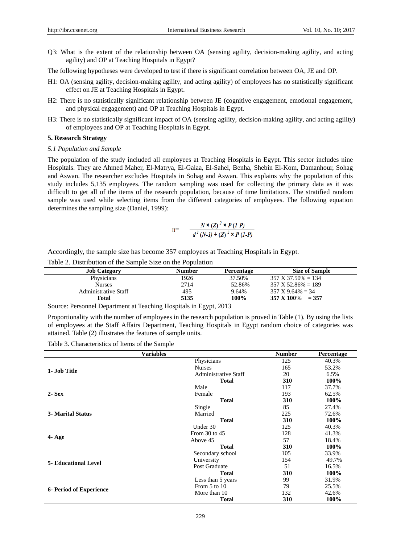Q3: What is the extent of the relationship between OA (sensing agility, decision-making agility, and acting agility) and OP at Teaching Hospitals in Egypt?

The following hypotheses were developed to test if there is significant correlation between OA, JE and OP.

- H1: OA (sensing agility, decision-making agility, and acting agility) of employees has no statistically significant effect on JE at Teaching Hospitals in Egypt.
- H2: There is no statistically significant relationship between JE (cognitive engagement, emotional engagement, and physical engagement) and OP at Teaching Hospitals in Egypt.
- H3: There is no statistically significant impact of OA (sensing agility, decision-making agility, and acting agility) of employees and OP at Teaching Hospitals in Egypt.

# **5. Research Strategy**

## *5.1 Population and Sample*

The population of the study included all employees at Teaching Hospitals in Egypt. This sector includes nine Hospitals. They are Ahmed Maher, El-Matrya, El-Galaa, El-Sahel, Benha, Shebin El-Kom, Damanhour, Sohag and Aswan. The researcher excludes Hospitals in Sohag and Aswan. This explains why the population of this study includes 5,135 employees. The random sampling was used for collecting the primary data as it was difficult to get all of the items of the research population, because of time limitations. The stratified random sample was used while selecting items from the different categories of employees. The following equation determines the sampling size (Daniel, 1999):

$$
n = \frac{N \times (Z)^2 \times P (1-P)}{d^2 (N-I) + (Z)^2 \times P (1-P)}
$$

Accordingly, the sample size has become 357 employees at Teaching Hospitals in Egypt.

Table 2. Distribution of the Sample Size on the Population

| <b>Job Category</b>  | Number | <b>Percentage</b> | Size of Sample                 |
|----------------------|--------|-------------------|--------------------------------|
| Physicians           | 1926   | 37.50%            | $357 \text{ X } 37.50\% = 134$ |
| <b>Nurses</b>        | 2714   | 52.86%            | $357 \text{ X } 52.86\% = 189$ |
| Administrative Staff | 495    | 9.64%             | $357 \text{ X } 9.64\% = 34$   |
| Total                | 5135   | 100%              | 357 X 100\%<br>$= 357$         |

Source: Personnel Department at Teaching Hospitals in Egypt, 2013

Proportionality with the number of employees in the research population is proved in Table (1). By using the lists of employees at the Staff Affairs Department, Teaching Hospitals in Egypt random choice of categories was attained. Table (2) illustrates the features of sample units.

Table 3. Characteristics of Items of the Sample

|                                | <b>Variables</b>            | <b>Number</b> | <b>Percentage</b> |
|--------------------------------|-----------------------------|---------------|-------------------|
|                                | Physicians                  | 125           | 40.3%             |
| 1- Job Title                   | <b>Nurses</b>               | 165           | 53.2%             |
|                                | <b>Administrative Staff</b> | 20            | 6.5%              |
|                                | <b>Total</b>                | 310           | 100%              |
|                                | Male                        | 117           | 37.7%             |
| $2 - Sex$                      | Female                      | 193           | 62.5%             |
|                                | <b>Total</b>                | 310           | 100%              |
|                                | Single                      | 85            | 27.4%             |
| <b>3- Marital Status</b>       | Married                     | 225           | 72.6%             |
|                                | <b>Total</b>                | 310           | 100%              |
|                                | Under 30                    | 125           | 40.3%             |
|                                | From 30 to 45               | 128           | 41.3%             |
| $4 - Age$                      | Above 45                    | 57            | 18.4%             |
|                                | <b>Total</b>                | 310           | 100%              |
|                                | Secondary school            | 105           | 33.9%             |
| <b>5- Educational Level</b>    | University                  | 154           | 49.7%             |
|                                | Post Graduate               | 51            | 16.5%             |
|                                | <b>Total</b>                | 310           | 100%              |
|                                | Less than 5 years           | 99            | 31.9%             |
|                                | From 5 to 10                | 79            | 25.5%             |
| <b>6- Period of Experience</b> | More than 10                | 132           | 42.6%             |
|                                | <b>Total</b>                | 310           | 100%              |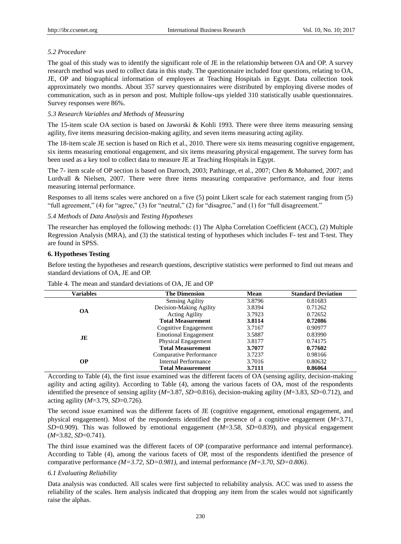# *5.2 Procedure*

The goal of this study was to identify the significant role of JE in the relationship between OA and OP. A survey research method was used to collect data in this study. The questionnaire included four questions, relating to OA, JE, OP and biographical information of employees at Teaching Hospitals in Egypt. Data collection took approximately two months. About 357 survey questionnaires were distributed by employing diverse modes of communication, such as in person and post. Multiple follow-ups yielded 310 statistically usable questionnaires. Survey responses were 86%.

## *5.3 Research Variables and Methods of Measuring*

The 15-item scale OA section is based on Jaworski & Kohli 1993. There were three items measuring sensing agility, five items measuring decision-making agility, and seven items measuring acting agility.

The 18-item scale JE section is based on Rich et al., 2010. There were six items measuring cognitive engagement, six items measuring emotional engagement, and six items measuring physical engagement. The survey form has been used as a key tool to collect data to measure JE at Teaching Hospitals in Egypt.

The 7- item scale of OP section is based on Darroch, 2003; Pathirage, et al., 2007; Chen & Mohamed, 2007; and Lurdvall & Nielsen, 2007. There were three items measuring comparative performance, and four items measuring internal performance.

Responses to all items scales were anchored on a five (5) point Likert scale for each statement ranging from (5) "full agreement," (4) for "agree," (3) for "neutral," (2) for "disagree," and (1) for "full disagreement."

# *5.4 Methods* of *Data Analysis* and *Testing Hypotheses*

The researcher has employed the following methods: (1) The Alpha Correlation Coefficient (ACC), (2) Multiple Regression Analysis (MRA), and (3) the statistical testing of hypotheses which includes F- test and T-test. They are found in SPSS.

# **6. Hypotheses Testing**

Before testing the hypotheses and research questions, descriptive statistics were performed to find out means and standard deviations of OA, JE and OP.

| Variables | <b>The Dimension</b>        | <b>Mean</b> | <b>Standard Deviation</b> |
|-----------|-----------------------------|-------------|---------------------------|
|           | Sensing Agility             | 3.8796      | 0.81683                   |
| <b>OA</b> | Decision-Making Agility     | 3.8394      | 0.71262                   |
|           | <b>Acting Agility</b>       | 3.7923      | 0.72652                   |
|           | <b>Total Measurement</b>    | 3.8114      | 0.72086                   |
|           | Cognitive Engagement        | 3.7167      | 0.90977                   |
| JE        | <b>Emotional Engagement</b> | 3.5887      | 0.83990                   |
|           | <b>Physical Engagement</b>  | 3.8177      | 0.74175                   |
|           | <b>Total Measurement</b>    | 3.7077      | 0.77602                   |
|           | Comparative Performance     | 3.7237      | 0.98166                   |
| <b>OP</b> | Internal Performance        | 3.7016      | 0.80632                   |
|           | <b>Total Measurement</b>    | 3.7111      | 0.86064                   |

Table 4. The mean and standard deviations of OA, JE and OP

According to Table (4), the first issue examined was the different facets of OA (sensing agility, decision-making agility and acting agility). According to Table (4), among the various facets of OA, most of the respondents identified the presence of sensing agility (*M*=3.87, *SD*=0.816), decision-making agility (*M*=3.83, *SD*=0.712), and acting agility (*M*=3.79, *SD*=0.726).

The second issue examined was the different facets of JE (cognitive engagement, emotional engagement, and physical engagement). Most of the respondents identified the presence of a cognitive engagement (*M*=3.71, *SD*=0.909). This was followed by emotional engagement (*M*=3.58, *SD*=0.839), and physical engagement (*M*=3.82, *SD*=0.741).

The third issue examined was the different facets of OP (comparative performance and internal performance). According to Table (4), among the various facets of OP, most of the respondents identified the presence of comparative performance *(M=3.72, SD=0.981)*, and internal performance *(M=3.70, SD=0.806)*.

## *6.1 Evaluating Reliability*

Data analysis was conducted. All scales were first subjected to reliability analysis. ACC was used to assess the reliability of the scales. Item analysis indicated that dropping any item from the scales would not significantly raise the alphas.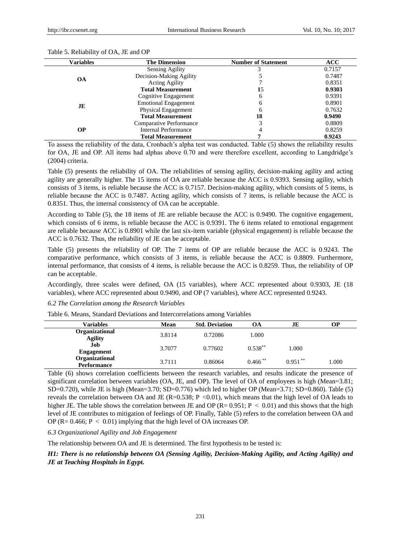| Variables | <b>The Dimension</b>        | <b>Number of Statement</b> | ACC    |
|-----------|-----------------------------|----------------------------|--------|
|           | Sensing Agility             |                            | 0.7157 |
| <b>OA</b> | Decision-Making Agility     |                            | 0.7487 |
|           | <b>Acting Agility</b>       |                            | 0.8351 |
|           | <b>Total Measurement</b>    | 15                         | 0.9303 |
|           | Cognitive Engagement        | 6                          | 0.9391 |
|           | <b>Emotional Engagement</b> | 6                          | 0.8901 |
| JE        | <b>Physical Engagement</b>  | 6                          | 0.7632 |
|           | <b>Total Measurement</b>    | 18                         | 0.9490 |
|           | Comparative Performance     | 3                          | 0.8809 |
| <b>OP</b> | Internal Performance        |                            | 0.8259 |
|           | <b>Total Measurement</b>    |                            | 0.9243 |

#### Table 5. Reliability of OA, JE and OP

To assess the reliability of the data, Cronbach's alpha test was conducted. Table (5) shows the reliability results for OA, JE and OP. All items had alphas above 0.70 and were therefore excellent, according to Langdridge's (2004) criteria.

Table (5) presents the reliability of OA. The reliabilities of sensing agility, decision-making agility and acting agility are generally higher. The 15 items of OA are reliable because the ACC is 0.9393. Sensing agility, which consists of 3 items, is reliable because the ACC is 0.7157. Decision-making agility, which consists of 5 items, is reliable because the ACC is 0.7487. Acting agility, which consists of 7 items, is reliable because the ACC is 0.8351. Thus, the internal consistency of OA can be acceptable.

According to Table (5), the 18 items of JE are reliable because the ACC is 0.9490. The cognitive engagement, which consists of 6 items, is reliable because the ACC is 0.9391. The 6 items related to emotional engagement are reliable because ACC is 0.8901 while the last six-item variable (physical engagement) is reliable because the ACC is 0.7632. Thus, the reliability of JE can be acceptable.

Table (5) presents the reliability of OP. The 7 items of OP are reliable because the ACC is 0.9243. The comparative performance, which consists of 3 items, is reliable because the ACC is 0.8809. Furthermore, internal performance, that consists of 4 items, is reliable because the ACC is 0.8259. Thus, the reliability of OP can be acceptable.

Accordingly, three scales were defined, OA (15 variables), where ACC represented about 0.9303, JE (18 variables), where ACC represented about 0.9490, and OP (7 variables), where ACC represented 0.9243.

*6.2 The Correlation among the Research Variables*

Table 6. Means, Standard Deviations and Intercorrelations among Variables

| <b>Variables</b>                            | Mean   | <b>Std. Deviation</b> | OА                    | JE         | ОP    |
|---------------------------------------------|--------|-----------------------|-----------------------|------------|-------|
| Organizational<br><b>Agility</b>            | 3.8114 | 0.72086               | 1.000                 |            |       |
| Job<br><b>Engagement</b>                    | 3.7077 | 0.77602               | $0.538**$             | 1.000      |       |
| <b>Organizational</b><br><b>Performance</b> | 3.7111 | 0.86064               | $0.466$ <sup>**</sup> | $0.951$ ** | 1.000 |

Table (6) shows correlation coefficients between the research variables, and results indicate the presence of significant correlation between variables (OA, JE, and OP). The level of OA of employees is high (Mean=3.81; SD=0.720), while JE is high (Mean=3.70; SD=0.776) which led to higher OP (Mean=3.71; SD=0.860). Table (5) reveals the correlation between OA and JE (R=0.538; P  $\leq$ 0.01), which means that the high level of OA leads to higher JE. The table shows the correlation between JE and OP ( $R = 0.951$ ; P  $\leq 0.01$ ) and this shows that the high level of JE contributes to mitigation of feelings of OP. Finally, Table (5) refers to the correlation between OA and OP ( $R = 0.466$ ;  $P \le 0.01$ ) implying that the high level of OA increases OP.

*6.3 Organizational Agility and Job Engagement*

The relationship between OA and JE is determined. The first hypothesis to be tested is:

*H1: There is no relationship between OA (Sensing Agility, Decision-Making Agility, and Acting Agility) and JE at Teaching Hospitals in Egypt.*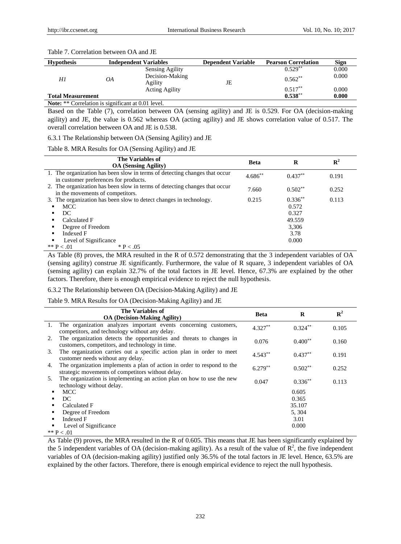## Table 7. Correlation between OA and JE

| <b>Hypothesis</b>        |                                                           | <b>Independent Variables</b> | <b>Dependent Variable</b> | <b>Pearson Correlation</b> | Sign  |  |
|--------------------------|-----------------------------------------------------------|------------------------------|---------------------------|----------------------------|-------|--|
| Hl                       |                                                           | <b>Sensing Agility</b>       |                           | $0.529**$                  | 0.000 |  |
|                          | OA                                                        | Decision-Making<br>Agility   | JE                        | $0.562**$                  | 0.000 |  |
|                          |                                                           | <b>Acting Agility</b>        |                           | $0.517**$                  | 0.000 |  |
| <b>Total Measurement</b> |                                                           |                              |                           | $0.538**$                  | 0.000 |  |
|                          | <b>Note:</b> ** Correlation is significant at 0.01 level. |                              |                           |                            |       |  |

Based on the Table (7), correlation between OA (sensing agility) and JE is 0.529. For OA (decision-making agility) and JE, the value is 0.562 whereas OA (acting agility) and JE shows correlation value of 0.517. The overall correlation between OA and JE is 0.538.

6.3.1 The Relationship between OA (Sensing Agility) and JE

Table 8. MRA Results for OA (Sensing Agility) and JE

| The Variables of<br><b>OA</b> (Sensing Agility)                                                                     | <b>Beta</b> | R         | $\mathbf{R}^2$ |
|---------------------------------------------------------------------------------------------------------------------|-------------|-----------|----------------|
| 1. The organization has been slow in terms of detecting changes that occur<br>in customer preferences for products. | 4.686**     | $0.437**$ | 0.191          |
| 2. The organization has been slow in terms of detecting changes that occur<br>in the movements of competitors.      | 7.660       | $0.502**$ | 0.252          |
| 3. The organization has been slow to detect changes in technology.                                                  | 0.215       | $0.336**$ | 0.113          |
| <b>MCC</b><br>٠                                                                                                     |             | 0.572     |                |
| DC                                                                                                                  |             | 0.327     |                |
| Calculated F                                                                                                        |             | 49.559    |                |
| Degree of Freedom                                                                                                   |             | 3,306     |                |
| Indexed F<br>٠                                                                                                      |             | 3.78      |                |
| Level of Significance                                                                                               |             | 0.000     |                |
| ** $P < .01$<br>$* P < .05$                                                                                         |             |           |                |

As Table (8) proves, the MRA resulted in the R of 0.572 demonstrating that the 3 independent variables of OA (sensing agility) construe JE significantly. Furthermore, the value of R square, 3 independent variables of OA (sensing agility) can explain 32.7% of the total factors in JE level. Hence, 67.3% are explained by the other factors. Therefore, there is enough empirical evidence to reject the null hypothesis.

6.3.2 The Relationship between OA (Decision-Making Agility) and JE

Table 9. MRA Results for OA (Decision-Making Agility) and JE

|    | The Variables of<br><b>OA</b> (Decision-Making Agility)                                                                      | <b>Beta</b> | R         | $\mathbb{R}^2$ |
|----|------------------------------------------------------------------------------------------------------------------------------|-------------|-----------|----------------|
| 1. | The organization analyzes important events concerning customers,<br>competitors, and technology without any delay.           | $4.327**$   | $0.324**$ | 0.105          |
| 2. | The organization detects the opportunities and threats to changes in<br>customers, competitors, and technology in time.      | 0.076       | $0.400**$ | 0.160          |
| 3. | The organization carries out a specific action plan in order to meet<br>customer needs without any delay.                    | $4.543**$   | $0.437**$ | 0.191          |
| 4. | The organization implements a plan of action in order to respond to the<br>strategic movements of competitors without delay. | $6.279**$   | $0.502**$ | 0.252          |
| 5. | The organization is implementing an action plan on how to use the new<br>technology without delay.                           | 0.047       | $0.336**$ | 0.113          |
|    | <b>MCC</b>                                                                                                                   |             | 0.605     |                |
|    | DC                                                                                                                           |             | 0.365     |                |
|    | Calculated F                                                                                                                 |             | 35.107    |                |
|    | Degree of Freedom                                                                                                            |             | 5, 304    |                |
|    | Indexed F                                                                                                                    |             | 3.01      |                |
|    | Level of Significance                                                                                                        |             | 0.000     |                |
|    | ** $P < .01$                                                                                                                 |             |           |                |

As Table (9) proves, the MRA resulted in the R of 0.605. This means that JE has been significantly explained by the 5 independent variables of OA (decision-making agility). As a result of the value of  $\mathbb{R}^2$ , the five independent variables of OA (decision-making agility) justified only 36.5% of the total factors in JE level. Hence, 63.5% are explained by the other factors. Therefore, there is enough empirical evidence to reject the null hypothesis.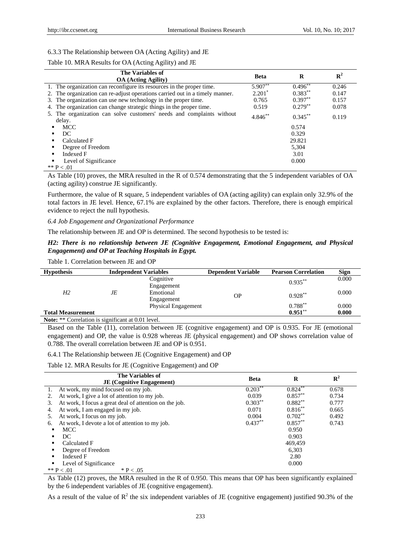## 6.3.3 The Relationship between OA (Acting Agility) and JE

## Table 10. MRA Results for OA (Acting Agility) and JE

| The Variables of<br><b>OA</b> (Acting Agility)                                  | <b>Beta</b> | R          | $\mathbb{R}^2$ |
|---------------------------------------------------------------------------------|-------------|------------|----------------|
| 1. The organization can reconfigure its resources in the proper time.           | 5.907**     | $0.496**$  | 0.246          |
| 2. The organization can re-adjust operations carried out in a timely manner.    | $2.201*$    | $0.383**$  | 0.147          |
| 3. The organization can use new technology in the proper time.                  | 0.765       | $0.397**$  | 0.157          |
| 4. The organization can change strategic things in the proper time.             | 0.519       | $0.279**$  | 0.078          |
| 5. The organization can solve customers' needs and complaints without<br>delay. | $4.846**$   | $0.345***$ | 0.119          |
| <b>MCC</b>                                                                      |             | 0.574      |                |
| DC.                                                                             |             | 0.329      |                |
| Calculated F                                                                    |             | 29.821     |                |
| Degree of Freedom                                                               |             | 5,304      |                |
| Indexed F                                                                       |             | 3.01       |                |
| Level of Significance                                                           |             | 0.000      |                |
| $*$ $*$ D $*$ 01                                                                |             |            |                |

\*\*  $P < .01$ 

As Table (10) proves, the MRA resulted in the R of 0.574 demonstrating that the 5 independent variables of OA (acting agility) construe JE significantly.

Furthermore, the value of R square, 5 independent variables of OA (acting agility) can explain only 32.9% of the total factors in JE level. Hence, 67.1% are explained by the other factors. Therefore, there is enough empirical evidence to reject the null hypothesis.

*6.4 Job Engagement and Organizational Performance*

The relationship between JE and OP is determined. The second hypothesis to be tested is:

## *H2: There is no relationship between JE (Cognitive Engagement, Emotional Engagement, and Physical Engagement) and OP at Teaching Hospitals in Egypt.*

Table 1. Correlation between JE and OP

| <b>Hypothesis</b>                                   |                                          | <b>Independent Variables</b> | <b>Dependent Variable</b> | <b>Pearson Correlation</b> | Sign  |
|-----------------------------------------------------|------------------------------------------|------------------------------|---------------------------|----------------------------|-------|
|                                                     |                                          | Cognitive                    | ΟP                        | $0.935***$                 | 0.000 |
| Η2                                                  | JE                                       | Engagement<br>Emotional      |                           | $0.928**$                  | 0.000 |
|                                                     | Engagement<br><b>Physical Engagement</b> |                              | $0.788**$                 | 0.000                      |       |
| <b>Total Measurement</b>                            |                                          |                              |                           | $0.951***$                 | 0.000 |
| Note: $**$ Correlation is significant at 0.01 lavel |                                          |                              |                           |                            |       |

**Correlation is significant at 0.01 level.** 

Based on the Table (11), correlation between JE (cognitive engagement) and OP is 0.935. For JE (emotional engagement) and OP, the value is 0.928 whereas JE (physical engagement) and OP shows correlation value of 0.788. The overall correlation between JE and OP is 0.951.

6.4.1 The Relationship between JE (Cognitive Engagement) and OP

Table 12. MRA Results for JE (Cognitive Engagement) and OP

| The Variables of                                             | <b>Beta</b> | R          | $\mathbf{R}^2$ |  |
|--------------------------------------------------------------|-------------|------------|----------------|--|
| <b>JE</b> (Cognitive Engagement)                             |             |            |                |  |
| At work, my mind focused on my job.<br>1.                    | $0.203***$  | $0.824***$ | 0.678          |  |
| At work, I give a lot of attention to my job.                | 0.039       | $0.857**$  | 0.734          |  |
| At work, I focus a great deal of attention on the job.<br>3. | $0.303**$   | $0.882**$  | 0.777          |  |
| At work, I am engaged in my job.<br>4.                       | 0.071       | $0.816**$  | 0.665          |  |
| At work, I focus on my job.                                  | 0.004       | $0.702**$  | 0.492          |  |
| At work, I devote a lot of attention to my job.<br>6.        | $0.437**$   | $0.857**$  | 0.743          |  |
| MCC<br>٠                                                     | 0.950       |            |                |  |
| DC                                                           | 0.903       |            |                |  |
| Calculated F                                                 |             | 469.459    |                |  |
| Degree of Freedom                                            |             | 6,303      |                |  |
| Indexed F                                                    |             | 2.80       |                |  |
| Level of Significance                                        |             | 0.000      |                |  |
| ** $P < .01$<br>$* P < .05$                                  |             |            |                |  |

As Table (12) proves, the MRA resulted in the R of 0.950. This means that OP has been significantly explained by the 6 independent variables of JE (cognitive engagement).

As a result of the value of  $R^2$  the six independent variables of JE (cognitive engagement) justified 90.3% of the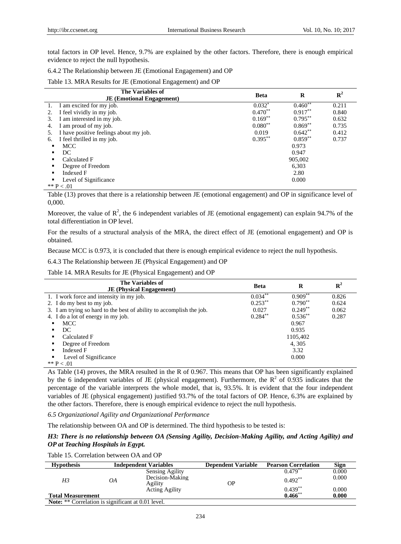total factors in OP level. Hence, 9.7% are explained by the other factors. Therefore, there is enough empirical evidence to reject the null hypothesis.

6.4.2 The Relationship between JE (Emotional Engagement) and OP

Table 13. MRA Results for JE (Emotional Engagement) and OP

|                       | The Variables of<br><b>JE</b> (Emotional Engagement) | <b>Beta</b> | R          | $\mathbf{R}^2$ |  |
|-----------------------|------------------------------------------------------|-------------|------------|----------------|--|
|                       | I am excited for my job.                             | $0.032*$    | $0.460**$  | 0.211          |  |
|                       | I feel vividly in my job.                            | $0.470**$   | $0.917***$ | 0.840          |  |
| 3.                    | I am interested in my job.                           | $0.169**$   | $0.795***$ | 0.632          |  |
| 4.                    | I am proud of my job.                                | $0.080**$   | $0.869**$  | 0.735          |  |
| 5.                    | I have positive feelings about my job.               | 0.019       | $0.642**$  | 0.412          |  |
| 6.                    | I feel thrilled in my job.                           | $0.395***$  | $0.859**$  | 0.737          |  |
| ٠                     | MCC                                                  |             | 0.973      |                |  |
|                       | DC                                                   |             | 0.947      |                |  |
| Calculated F          |                                                      | 905,002     |            |                |  |
| Degree of Freedom     |                                                      | 6,303       |            |                |  |
| Indexed F<br>٠        |                                                      | 2.80        |            |                |  |
| Level of Significance |                                                      |             | 0.000      |                |  |
|                       | ** $P < .01$                                         |             |            |                |  |

Table (13) proves that there is a relationship between JE (emotional engagement) and OP in significance level of 0,000.

Moreover, the value of  $\mathbb{R}^2$ , the 6 independent variables of JE (emotional engagement) can explain 94.7% of the total differentiation in OP level.

For the results of a structural analysis of the MRA, the direct effect of JE (emotional engagement) and OP is obtained.

Because MCC is 0.973, it is concluded that there is enough empirical evidence to reject the null hypothesis.

6.4.3 The Relationship between JE (Physical Engagement) and OP

Table 14. MRA Results for JE (Physical Engagement) and OP

| The Variables of<br><b>JE</b> (Physical Engagement)                  | <b>Beta</b> | R         | $\mathbf{R}^2$ |
|----------------------------------------------------------------------|-------------|-----------|----------------|
| 1. I work force and intensity in my job.                             | $0.034***$  | $0.909**$ | 0.826          |
| 2. I do my best to my job.                                           | $0.253***$  | $0.790**$ | 0.624          |
| 3. I am trying so hard to the best of ability to accomplish the job. | 0.027       | $0.249**$ | 0.062          |
| 4. I do a lot of energy in my job.                                   | $0.284***$  | $0.536**$ | 0.287          |
| <b>MCC</b>                                                           |             | 0.967     |                |
| DC                                                                   |             | 0.935     |                |
| Calculated F                                                         |             | 1105,402  |                |
| Degree of Freedom                                                    |             | 4, 305    |                |
| Indexed F                                                            |             | 3.32      |                |
| Level of Significance                                                |             | 0.000     |                |
| ** $P < .01$                                                         |             |           |                |

As Table (14) proves, the MRA resulted in the R of 0.967. This means that OP has been significantly explained by the 6 independent variables of JE (physical engagement). Furthermore, the  $R^2$  of 0.935 indicates that the percentage of the variable interprets the whole model, that is, 93.5%. It is evident that the four independent variables of JE (physical engagement) justified 93.7% of the total factors of OP. Hence, 6.3% are explained by the other factors. Therefore, there is enough empirical evidence to reject the null hypothesis.

*6.5 Organizational Agility and Organizational Performance*

The relationship between OA and OP is determined. The third hypothesis to be tested is:

# *H3: There is no relationship between OA (Sensing Agility, Decision-Making Agility, and Acting Agility) and OP at Teaching Hospitals in Egypt.*

Table 15. Correlation between OA and OP

| <b>Hypothesis</b>                                         |    | <b>Independent Variables</b> | <b>Dependent Variable</b> | <b>Pearson Correlation</b> | <b>Sign</b>    |
|-----------------------------------------------------------|----|------------------------------|---------------------------|----------------------------|----------------|
|                                                           | OA | <b>Sensing Agility</b>       | OΡ                        | $0.479**$                  | 0.000<br>0.000 |
| H3                                                        |    | Decision-Making<br>Agility   |                           | $0.492**$                  |                |
|                                                           |    | <b>Acting Agility</b>        |                           | $0.439**$                  | 0.000          |
| <b>Total Measurement</b>                                  |    |                              |                           | $0.466$ **                 | 0.000          |
| <b>Note:</b> ** Correlation is significant at 0.01 level. |    |                              |                           |                            |                |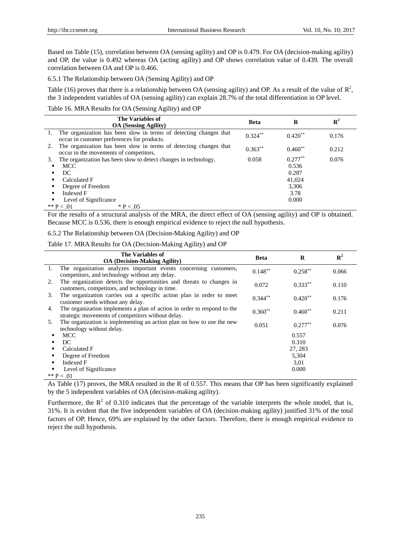Based on Table (15), correlation between OA (sensing agility) and OP is 0.479. For OA (decision-making agility) and OP, the value is 0.492 whereas OA (acting agility) and OP shows correlation value of 0.439. The overall correlation between OA and OP is 0.466.

6.5.1 The Relationship between OA (Sensing Agility) and OP

Table (16) proves that there is a relationship between OA (sensing agility) and OP. As a result of the value of  $\mathbb{R}^2$ , the 3 independent variables of OA (sensing agility) can explain 28.7% of the total differentiation in OP level.

Table 16. MRA Results for OA (Sensing Agility) and OP

| The Variables of<br><b>OA</b> (Sensing Agility)                                                                  | <b>Beta</b> | R          | $\mathbf{R}^2$ |
|------------------------------------------------------------------------------------------------------------------|-------------|------------|----------------|
| The organization has been slow in terms of detecting changes that<br>occur in customer preferences for products. | $0.324**$   | $0.420**$  | 0.176          |
| The organization has been slow in terms of detecting changes that<br>occur in the movements of competitors.      | $0.363**$   | $0.460**$  | 0.212          |
| The organization has been slow to detect changes in technology.<br>3.                                            | 0.058       | $0.277***$ | 0.076          |
| <b>MCC</b>                                                                                                       |             | 0.536      |                |
| DC                                                                                                               |             | 0.287      |                |
| Calculated F                                                                                                     |             | 41,024     |                |
| Degree of Freedom                                                                                                |             | 3,306      |                |
| Indexed F                                                                                                        |             | 3.78       |                |
| Level of Significance                                                                                            |             | 0.000      |                |
| ** $P < .01$<br>$* P < .05$                                                                                      |             |            |                |

For the results of a structural analysis of the MRA, the direct effect of OA (sensing agility) and OP is obtained. Because MCC is 0.536, there is enough empirical evidence to reject the null hypothesis.

6.5.2 The Relationship between OA (Decision-Making Agility) and OP

Table 17. MRA Results for OA (Decision-Making Agility) and OP

|           | The Variables of<br><b>OA</b> (Decision-Making Agility)                                                                      | <b>Beta</b> | R          | ${\bf R}^2$ |
|-----------|------------------------------------------------------------------------------------------------------------------------------|-------------|------------|-------------|
| 1.        | The organization analyzes important events concerning customers,<br>competitors, and technology without any delay.           | $0.148***$  | $0.258***$ | 0.066       |
| 2.        | The organization detects the opportunities and threats to changes in<br>customers, competitors, and technology in time.      | 0.072       | $0.333**$  | 0.110       |
| 3.        | The organization carries out a specific action plan in order to meet<br>customer needs without any delay.                    | $0.344**$   | $0.420**$  | 0.176       |
| 4.        | The organization implements a plan of action in order to respond to the<br>strategic movements of competitors without delay. | $0.360**$   | $0.460**$  | 0.211       |
| 5.        | The organization is implementing an action plan on how to use the new<br>technology without delay.                           | 0.051       | $0.277**$  | 0.076       |
|           | MCC                                                                                                                          |             | 0.557      |             |
|           | DC.                                                                                                                          |             | 0.310      |             |
|           | Calculated F                                                                                                                 |             | 27, 283    |             |
|           | Degree of Freedom                                                                                                            |             | 5,304      |             |
| Indexed F |                                                                                                                              |             | 3,01       |             |
|           | Level of Significance                                                                                                        |             | 0.000      |             |
|           | ** $P < .01$                                                                                                                 |             |            |             |

As Table (17) proves, the MRA resulted in the R of 0.557. This means that OP has been significantly explained by the 5 independent variables of OA (decision-making agility).

Furthermore, the  $R^2$  of 0.310 indicates that the percentage of the variable interprets the whole model, that is, 31%. It is evident that the five independent variables of OA (decision-making agility) justified 31% of the total factors of OP. Hence, 69% are explained by the other factors. Therefore, there is enough empirical evidence to reject the null hypothesis.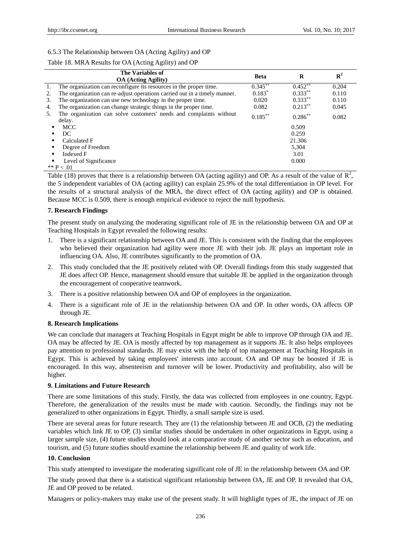## 6.5.3 The Relationship between OA (Acting Agility) and OP

## Table 18. MRA Results for OA (Acting Agility) and OP

|                   | The Variables of<br><b>OA</b> (Acting Agility)                            | <b>Beta</b> | R          | $\mathbb{R}^2$ |
|-------------------|---------------------------------------------------------------------------|-------------|------------|----------------|
| 1.                | The organization can reconfigure its resources in the proper time.        | $0.345***$  | $0.452**$  | 0.204          |
| 2.                | The organization can re-adjust operations carried out in a timely manner. | $0.183*$    | $0.333**$  | 0.110          |
| 3.                | The organization can use new technology in the proper time.               | 0.020       | $0.333**$  | 0.110          |
| 4.                | The organization can change strategic things in the proper time.          | 0.082       | $0.213***$ | 0.045          |
| 5.                | The organization can solve customers' needs and complaints without        | $0.185***$  | $0.286**$  | 0.082          |
|                   | delay.                                                                    |             |            |                |
|                   | <b>MCC</b>                                                                |             | 0.509      |                |
|                   | DC                                                                        |             | 0.259      |                |
|                   | Calculated F                                                              |             | 21.306     |                |
| Degree of Freedom |                                                                           |             | 5,304      |                |
|                   | Indexed F                                                                 |             | 3.01       |                |
|                   | Level of Significance                                                     |             | 0.000      |                |
|                   | ** $P < .01$                                                              |             |            |                |

Table (18) proves that there is a relationship between OA (acting agility) and OP. As a result of the value of  $\mathbb{R}^2$ , the 5 independent variables of OA (acting agility) can explain 25.9% of the total differentiation in OP level. For the results of a structural analysis of the MRA, the direct effect of OA (acting agility) and OP is obtained. Because MCC is 0.509, there is enough empirical evidence to reject the null hypothesis.

## **7. Research Findings**

The present study on analyzing the moderating significant role of JE in the relationship between OA and OP at Teaching Hospitals in Egypt revealed the following results:

- 1. There is a significant relationship between OA and JE. This is consistent with the finding that the employees who believed their organization had agility were more JE with their job. JE plays an important role in influencing OA. Also, JE contributes significantly to the promotion of OA.
- 2. This study concluded that the JE positively related with OP. Overall findings from this study suggested that JE does affect OP. Hence, management should ensure that suitable JE be applied in the organization through the encouragement of cooperative teamwork.
- 3. There is a positive relationship between OA and OP of employees in the organization.
- 4. There is a significant role of JE in the relationship between OA and OP. In other words, OA affects OP through JE.

## **8. Research Implications**

We can conclude that managers at Teaching Hospitals in Egypt might be able to improve OP through OA and JE. OA may be affected by JE. OA is mostly affected by top management as it supports JE. It also helps employees pay attention to professional standards. JE may exist with the help of top management at Teaching Hospitals in Egypt. This is achieved by taking employees' interests into account. OA and OP may be boosted if JE is encouraged. In this way, absenteeism and turnover will be lower. Productivity and profitability, also will be higher.

## **9. Limitations and Future Research**

There are some limitations of this study. Firstly, the data was collected from employees in one country, Egypt. Therefore, the generalization of the results must be made with caution. Secondly, the findings may not be generalized to other organizations in Egypt. Thirdly, a small sample size is used.

There are several areas for future research. They are (1) the relationship between JE and OCB, (2) the mediating variables which link JE to OP, (3) similar studies should be undertaken in other organizations in Egypt, using a larger sample size, (4) future studies should look at a comparative study of another sector such as education, and tourism, and (5) future studies should examine the relationship between JE and quality of work life.

## **10. Conclusion**

This study attempted to investigate the moderating significant role of JE in the relationship between OA and OP.

The study proved that there is a statistical significant relationship between OA, JE and OP. It revealed that OA, JE and OP proved to be related.

Managers or policy-makers may make use of the present study. It will highlight types of JE, the impact of JE on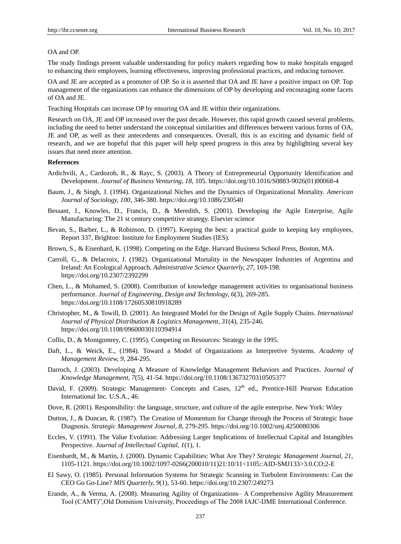#### OA and OP.

The study findings present valuable understanding for policy makers regarding how to make hospitals engaged to enhancing their employees, learning effectiveness, improving professional practices, and reducing turnover.

OA and JE are accepted as a promoter of OP. So it is asserted that OA and JE have a positive impact on OP. Top management of the organizations can enhance the dimensions of OP by developing and encouraging some facets of OA and JE.

Teaching Hospitals can increase OP by ensuring OA and JE within their organizations.

Research on OA, JE and OP increased over the past decade. However, this rapid growth caused several problems, including the need to better understand the conceptual similarities and differences between various forms of OA, JE and OP, as well as their antecedents and consequences. Overall, this is an exciting and dynamic field of research, and we are hopeful that this paper will help speed progress in this area by highlighting several key issues that need more attention.

#### **References**

- Ardichvili, A., Cardozob, R., & Rayc, S. (2003). A Theory of Entrepreneurial Opportunity Identification and Development. *Journal of Business Venturing, 18,* 105. https://doi.org/10.1016/S0883-9026(01)00068-4
- Baum, J., & Singh, J. (1994). Organizational Niches and the Dynamics of Organizational Mortality. *American Journal of Sociology, 100,* 346-380. https://doi.org/10.1086/230540
- Bessant, J., Knowles, D., Francis, D., & Meredith, S. (2001). Developing the Agile Enterprise, Agile Manufacturing: The 21 st century competitive strategy. Elsevier science
- Bevan, S., Barber, L., & Robinson, D. (1997). Keeping the best: a practical guide to keeping key employees, Report 337, Brighton: Institute for Employment Studies (IES).
- Brown, S., & Eisenhard, K. (1998). Competing on the Edge. Harvard Business School Press, Boston, MA.
- Carroll, G., & Delacroix, J. (1982). Organizational Mortality in the Newspaper Industries of Argentina and Ireland: An Ecological Approach. *Administrative Science Quarterly, 27,* 169-198. https://doi.org/10.2307/2392299
- Chen, L., & Mohamed, S. (2008). Contribution of knowledge management activities to organisational business performance. *Journal of Engineering, Design and Technology, 6*(3), 269-285. https://doi.org/10.1108/17260530810918289
- Christopher, M., & Towill, D. (2001). An Integrated Model for the Design of Agile Supply Chains. *International Journal of Physical Distribution & Logistics Management, 31*(4), 235-246. https://doi.org/10.1108/09600030110394914
- Collis, D., & Montgomrey, C. (1995). Competing on Resources: Strategy in the 1995.
- Daft, L., & Weick, E., (1984). Toward a Model of Organizations as Interpretive Systems. *Academy of Management Review, 9,* 284-295.
- Darroch, J. (2003). Developing A Measure of Knowledge Management Behaviors and Practices. *Journal of Knowledge Management, 7*(5), 41-54. https://doi.org/10.1108/13673270310505377
- David, F. (2009). Strategic Management- Concepts and Cases, 12<sup>th</sup> ed., Prentice-Hill Pearson Education International Inc. U.S.A., 46.
- Dove, R. (2001). Responsibility: the language, structure, and culture of the agile enterprise. New York: Wiley
- Dutton, J., & Duncan, R. (1987). The Creation of Momentum for Change through the Process of Strategic Issue Diagnosis. *Strategic Management Journal, 8,* 279-295. https://doi.org/10.1002/smj.4250080306
- Eccles, V. (1991). The Value Evolution: Addressing Larger Implications of Intellectual Capital and Intangibles Perspective. *Journal of Intellectual Capital, 1*(1), 1.
- Eisenhardt, M., & Martin, J. (2000). Dynamic Capabilities: What Are They? *Strategic Management Journal, 21,*  1105-1121. https://doi.org/10.1002/1097-0266(200010/11)21:10/11<1105::AID-SMJ133>3.0.CO;2-E
- El Sawy, O. (1985). Personal Information Systems for Strategic Scanning in Turbulent Environments: Can the CEO Go Go-Line? *MIS Quarterly, 9*(1), 53-60. https://doi.org/10.2307/249273
- Erande, A., & Verma, A. (2008). Measuring Agility of Organizations– A Comprehensive Agility Measurement Tool (CAMT)",Old Dominion University, Proceedings of The 2008 IAJC-IJME International Conference.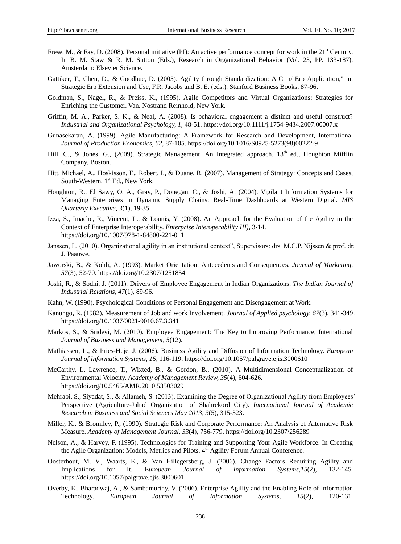- Frese, M., & Fay, D. (2008). Personal initiative (PI): An active performance concept for work in the  $21<sup>st</sup>$  Century. In B. M. Staw & R. M. Sutton (Eds.), Research in Organizational Behavior (Vol. 23, PP. 133-187). Amsterdam: Elsevier Science.
- Gattiker, T., Chen, D., & Goodhue, D. (2005). Agility through Standardization: A Crm/ Erp Application," in: Strategic Erp Extension and Use, F.R. Jacobs and B. E. (eds.). Stanford Business Books, 87-96.
- Goldman, S., Nagel, R., & Preiss, K., (1995). Agile Competitors and Virtual Organizations: Strategies for Enriching the Customer. Van. Nostrand Reinhold, New York.
- Griffin, M. A., Parker, S. K., & Neal, A. (2008). Is behavioral engagement a distinct and useful construct? *Industrial and Organizational Psychology, 1,* 48-51. https://doi.org/10.1111/j.1754-9434.2007.00007.x
- Gunasekaran, A. (1999). Agile Manufacturing: A Framework for Research and Development, International *Journal of Production Economics, 62,* 87-105. https://doi.org/10.1016/S0925-5273(98)00222-9
- Hill, C., & Jones, G., (2009). Strategic Management, An Integrated approach, 13<sup>th</sup> ed., Houghton Mifflin Company, Boston.
- Hitt, Michael, A., Hoskisson, E., Robert, I., & Duane, R. (2007). Management of Strategy: Concepts and Cases, South-Western, 1<sup>st</sup> Ed., New York.
- Houghton, R., El Sawy, O. A., Gray, P., Donegan, C., & Joshi, A. (2004). Vigilant Information Systems for Managing Enterprises in Dynamic Supply Chains: Real-Time Dashboards at Western Digital. *MIS Quarterly Executive, 3*(1), 19-35.
- Izza, S., Imache, R., Vincent, L., & Lounis, Y. (2008). An Approach for the Evaluation of the Agility in the Context of Enterprise Interoperability. *Enterprise Interoperability III),* 3-14. https://doi.org/10.1007/978-1-84800-221-0\_1
- Janssen, L. (2010). Organizational agility in an institutional context", Supervisors: drs. M.C.P. Nijssen & prof. dr. J. Paauwe.
- Jaworski, B., & Kohli, A. (1993). Market Orientation: Antecedents and Consequences. *Journal of Marketing, 57*(3), 52-70. https://doi.org/10.2307/1251854
- Joshi, R., & Sodhi, J. (2011). Drivers of Employee Engagement in Indian Organizations. *The Indian Journal of Industrial Relations, 47*(1), 89-96.
- Kahn, W. (1990). Psychological Conditions of Personal Engagement and Disengagement at Work.
- Kanungo, R. (1982). Measurement of Job and work Involvement. *Journal of Applied psychology, 67*(3), 341-349. https://doi.org/10.1037/0021-9010.67.3.341
- Markos, S., & Sridevi, M. (2010). Employee Engagement: The Key to Improving Performance, International *Journal of Business and Management, 5*(12).
- Mathiassen, L., & Pries-Heje, J. (2006). Business Agility and Diffusion of Information Technology. *European Journal of Information Systems, 15,* 116-119. https://doi.org/10.1057/palgrave.ejis.3000610
- McCarthy, I., Lawrence, T., Wixted, B., & Gordon, B., (2010). A Multidimensional Conceptualization of Environmental Velocity. *Academy of Management Review, 35*(4), 604-626. https://doi.org/10.5465/AMR.2010.53503029
- Mehrabi, S., Siyadat, S., & Allameh, S. (2013). Examining the Degree of Organizational Agility from Employees' Perspective (Agriculture-Jahad Organization of Shahrekord City). *International Journal of Academic Research in Business and Social Sciences May 2013, 3*(5), 315-323.
- Miller, K., & Bromiley, P., (1990). Strategic Risk and Corporate Performance: An Analysis of Alternative Risk Measure. *Academy of Management Journal, 33*(4), 756-779. https://doi.org/10.2307/256289
- Nelson, A., & Harvey, F. (1995). Technologies for Training and Supporting Your Agile Workforce. In Creating the Agile Organization: Models, Metrics and Pilots. 4<sup>th</sup> Agility Forum Annual Conference.
- Oosterhout, M. V., Waarts, E., & Van Hillegersberg, J. (2006). Change Factors Requiring Agility and Implications for It. E*uropean Journal of Information Systems,15*(2), 132-145. https://doi.org/10.1057/palgrave.ejis.3000601
- Overby, E., Bharadwaj, A., & Sambamurthy, V. (2006). Enterprise Agility and the Enabling Role of Information Technology. *European Journal of Information Systems, 15*(2), 120-131.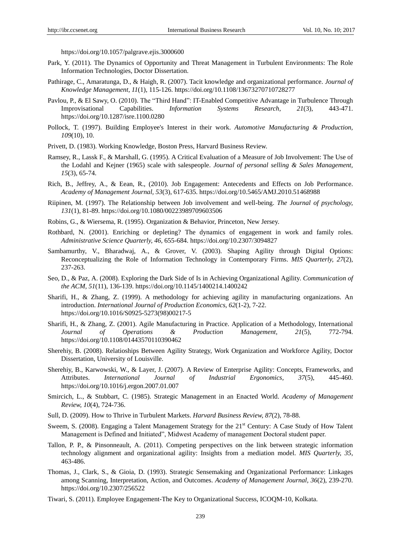https://doi.org/10.1057/palgrave.ejis.3000600

- Park, Y. (2011). The Dynamics of Opportunity and Threat Management in Turbulent Environments: The Role Information Technologies, Doctor Dissertation.
- Pathirage, C., Amaratunga, D., & Haigh, R. (2007). Tacit knowledge and organizational performance. *Journal of Knowledge Management, 11*(1), 115-126. https://doi.org/10.1108/13673270710728277
- Pavlou, P., & El Sawy, O. (2010). The "Third Hand": IT-Enabled Competitive Advantage in Turbulence Through Improvisational Capabilities. *Information Systems Research, 21*(3), 443-471. https://doi.org/10.1287/isre.1100.0280
- Pollock, T. (1997). Building Employee's Interest in their work. *Automotive Manufacturing & Production, 109*(10), 10.
- Privett, D. (1983). Working Knowledge, Boston Press, Harvard Business Review.
- Ramsey, R., Lassk F., & Marshall, G. (1995). A Critical Evaluation of a Measure of Job Involvement: The Use of the Lodahl and Kejner (1965) scale with salespeople. *Journal of personal selling & Sales Management, 15*(3), 65-74.
- Rich, B., Jeffrey, A., & Eean, R., (2010). Job Engagement: Antecedents and Effects on Job Performance. *Academy of Management Journal, 53*(3), 617-635. https://doi.org/10.5465/AMJ.2010.51468988
- Riipinen, M. (1997). The Relationship between Job involvement and well-being. *The Journal of psychology, 131*(1), 81-89. https://doi.org/10.1080/00223989709603506
- Robins, G., & Wiersema, R. (1995). Organization & Behavior, Princeton, New Jersey.
- Rothbard, N. (2001). Enriching or depleting? The dynamics of engagement in work and family roles. *Administrative Science Quarterly, 46,* 655-684. https://doi.org/10.2307/3094827
- Sambamurthy, V., Bharadwaj, A., & Grover, V. (2003). Shaping Agility through Digital Options: Reconceptualizing the Role of Information Technology in Contemporary Firms. *MIS Quarterly, 27*(2), 237-263.
- Seo, D., & Paz, A. (2008). Exploring the Dark Side of Is in Achieving Organizational Agility. *Communication of the ACM, 51*(11), 136-139. https://doi.org/10.1145/1400214.1400242
- Sharifi, H., & Zhang, Z. (1999). A methodology for achieving agility in manufacturing organizations. An introduction. *International Journal of Production Economics, 62*(1-2), 7-22. https://doi.org/10.1016/S0925-5273(98)00217-5
- Sharifi, H., & Zhang, Z. (2001). Agile Manufacturing in Practice. Application of a Methodology, International *Journal of Operations & Production Management, 21*(5), 772-794. https://doi.org/10.1108/01443570110390462
- Sherehiy, B. (2008). Relatioships Between Agility Strategy, Work Organization and Workforce Agility, Doctor Dissertation, University of Louisville.
- Sherehiy, B., Karwowski, W., & Layer, J. (2007). A Review of Enterprise Agility: Concepts, Frameworks, and Attributes. *International Journal of Industrial Ergonomics, 37*(5), 445-460. https://doi.org/10.1016/j.ergon.2007.01.007
- Smircich, L., & Stubbart, C. (1985). Strategic Management in an Enacted World. *Academy of Management Review, 10*(4), 724-736.
- Sull, D. (2009). How to Thrive in Turbulent Markets. *Harvard Business Review, 87*(2), 78-88.
- Sweem, S. (2008). Engaging a Talent Management Strategy for the 21<sup>st</sup> Century: A Case Study of How Talent Management is Defined and Initiated", Midwest Academy of management Doctoral student paper.
- Tallon, P. P., & Pinsonneault, A. (2011). Competing perspectives on the link between strategic information technology alignment and organizational agility: Insights from a mediation model. *MIS Quarterly, 35,*  463-486.
- Thomas, J., Clark, S., & Gioia, D. (1993). Strategic Sensemaking and Organizational Performance: Linkages among Scanning, Interpretation, Action, and Outcomes. *Academy of Management Journal, 36*(2), 239-270. https://doi.org/10.2307/256522
- Tiwari, S. (2011). Employee Engagement-The Key to Organizational Success, ICOQM-10, Kolkata.